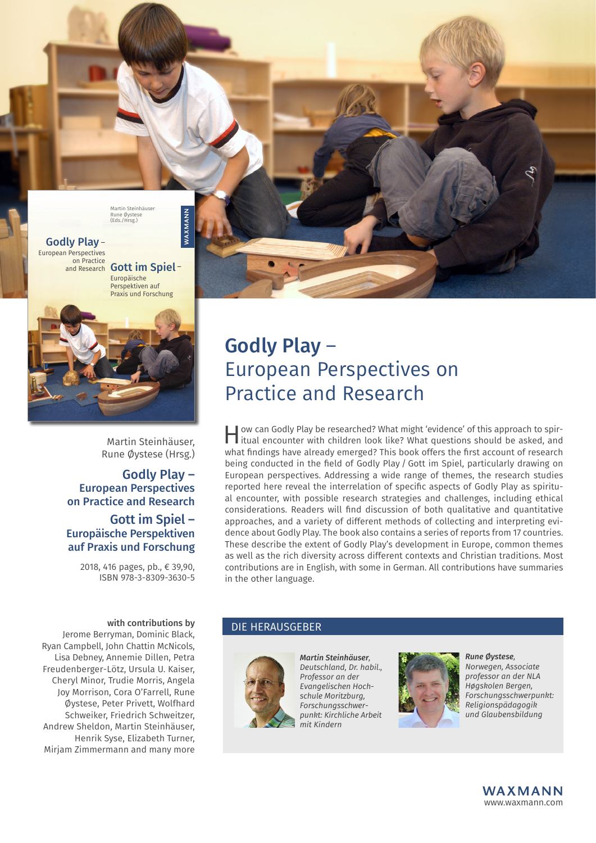



Martin Steinhäuser, Rune Øystese (Hrsg.)

## Godly Play – European Perspectives on Practice and Research

### Gott im Spiel – Europäische Perspektiven auf Praxis und Forschung

2018, 416 pages, pb., € 39,90, ISBN 978-3-8309-3630-5

#### with contributions by

Jerome Berryman, Dominic Black, Ryan Campbell, John Chattin McNicols, Lisa Debney, Annemie Dillen, Petra Freudenberger-Lötz, Ursula U. Kaiser, Cheryl Minor, Trudie Morris, Angela Joy Morrison, Cora O'Farrell, Rune Øystese, Peter Privett, Wolfhard Schweiker, Friedrich Schweitzer, Andrew Sheldon, Martin Steinhäuser, Henrik Syse, Elizabeth Turner, Mirjam Zimmermann and many more

## Godly Play – European Perspectives on Practice and Research

How can Godly Play be researched? What might 'evidence' of this approach to spir-itual encounter with children look like? What questions should be asked, and what findings have already emerged? This book offers the first account of research being conducted in the field of Godly Play / Gott im Spiel, particularly drawing on European perspectives. Addressing a wide range of themes, the research studies reported here reveal the interrelation of specific aspects of Godly Play as spiritual encounter, with possible research strategies and challenges, including ethical considerations. Readers will find discussion of both qualitative and quantitative approaches, and a variety of different methods of collecting and interpreting evidence about Godly Play. The book also contains a series of reports from 17 countries. These describe the extent of Godly Play's development in Europe, common themes as well as the rich diversity across different contexts and Christian traditions. Most contributions are in English, with some in German. All contributions have summaries in the other language.

#### DIE HERAUSGEBER



*Martin Steinhäuser, Deutschland, Dr. habil., Professor an der Evangelischen Hochschule Moritzburg, Forschungsschwerpunkt: Kirchliche Arbeit mit Kindern*



*Rune Øystese, Norwegen, Associate professor an der NLA Høgskolen Bergen, Forschungsschwerpunkt: Religionspädagogik und Glaubensbildung*